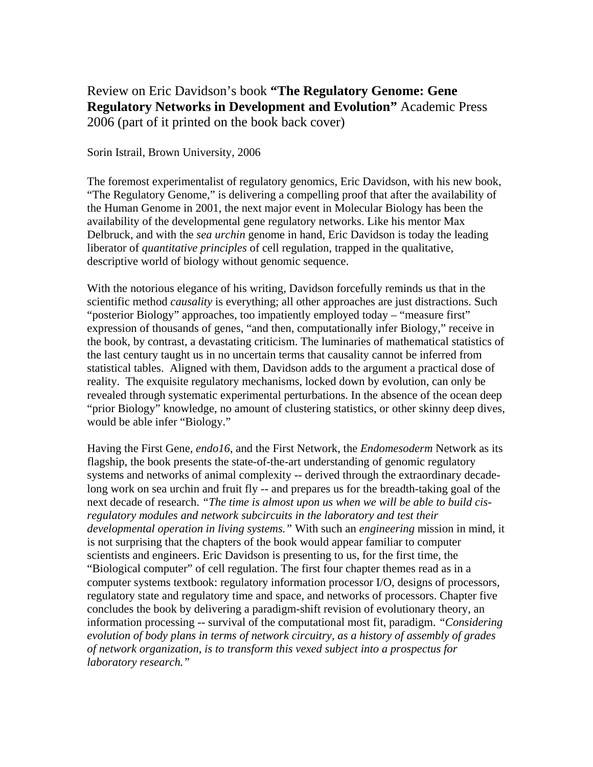Review on Eric Davidson's book **"The Regulatory Genome: Gene Regulatory Networks in Development and Evolution"** Academic Press 2006 (part of it printed on the book back cover)

## Sorin Istrail, Brown University, 2006

The foremost experimentalist of regulatory genomics, Eric Davidson, with his new book, "The Regulatory Genome," is delivering a compelling proof that after the availability of the Human Genome in 2001, the next major event in Molecular Biology has been the availability of the developmental gene regulatory networks. Like his mentor Max Delbruck, and with the *sea urchin* genome in hand, Eric Davidson is today the leading liberator of *quantitative principles* of cell regulation, trapped in the qualitative, descriptive world of biology without genomic sequence.

With the notorious elegance of his writing, Davidson forcefully reminds us that in the scientific method *causality* is everything; all other approaches are just distractions. Such "posterior Biology" approaches, too impatiently employed today – "measure first" expression of thousands of genes, "and then, computationally infer Biology," receive in the book, by contrast, a devastating criticism. The luminaries of mathematical statistics of the last century taught us in no uncertain terms that causality cannot be inferred from statistical tables. Aligned with them, Davidson adds to the argument a practical dose of reality. The exquisite regulatory mechanisms, locked down by evolution, can only be revealed through systematic experimental perturbations. In the absence of the ocean deep "prior Biology" knowledge, no amount of clustering statistics, or other skinny deep dives, would be able infer "Biology."

Having the First Gene, *endo16*, and the First Network, the *Endomesoderm* Network as its flagship, the book presents the state-of-the-art understanding of genomic regulatory systems and networks of animal complexity -- derived through the extraordinary decadelong work on sea urchin and fruit fly -- and prepares us for the breadth-taking goal of the next decade of research. *"The time is almost upon us when we will be able to build cisregulatory modules and network subcircuits in the laboratory and test their developmental operation in living systems."* With such an *engineering* mission in mind, it is not surprising that the chapters of the book would appear familiar to computer scientists and engineers. Eric Davidson is presenting to us, for the first time, the "Biological computer" of cell regulation. The first four chapter themes read as in a computer systems textbook: regulatory information processor I/O, designs of processors, regulatory state and regulatory time and space, and networks of processors. Chapter five concludes the book by delivering a paradigm-shift revision of evolutionary theory, an information processing -- survival of the computational most fit, paradigm. *"Considering evolution of body plans in terms of network circuitry, as a history of assembly of grades of network organization, is to transform this vexed subject into a prospectus for laboratory research."*